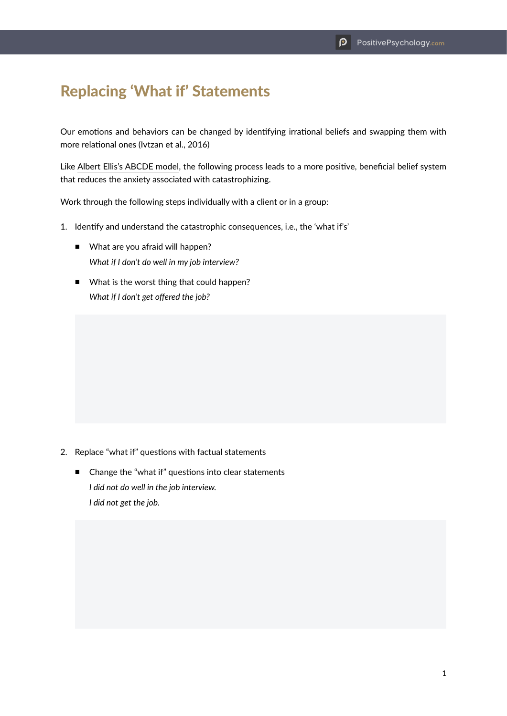## Replacing 'What if' Statements

Our emotions and behaviors can be changed by identifying irrational beliefs and swapping them with more relational ones (Ivtzan et al., 2016)

Like Albert Ellis's ABCDE model, the following process leads to a more positive, beneficial belief system that reduces the anxiety associated with catastrophizing.

Work through the following steps individually with a client or in a group:

- 1. Identify and understand the catastrophic consequences, i.e., the 'what if's'
	- What are you afraid will happen? *What if I don't do well in my job interview?*
	- What is the worst thing that could happen? *What if I don't get offered the job?*

- 2. Replace "what if" questions with factual statements
	- Change the "what if" questions into clear statements *I did not do well in the job interview. I did not get the job.*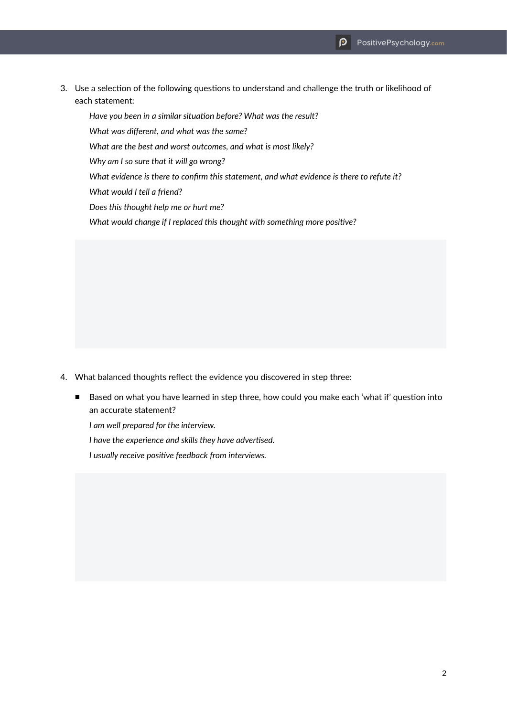3. Use a selection of the following questions to understand and challenge the truth or likelihood of each statement:

*Have you been in a similar situation before? What was the result? What was different, and what was the same? What are the best and worst outcomes, and what is most likely? Why am I so sure that it will go wrong? What evidence is there to confirm this statement, and what evidence is there to refute it? What would I tell a friend? Does this thought help me or hurt me? What would change if I replaced this thought with something more positive?*

- 4. What balanced thoughts reflect the evidence you discovered in step three:
	- Based on what you have learned in step three, how could you make each 'what if' question into an accurate statement?

*I am well prepared for the interview.*

*I have the experience and skills they have advertised.*

*I usually receive positive feedback from interviews.*